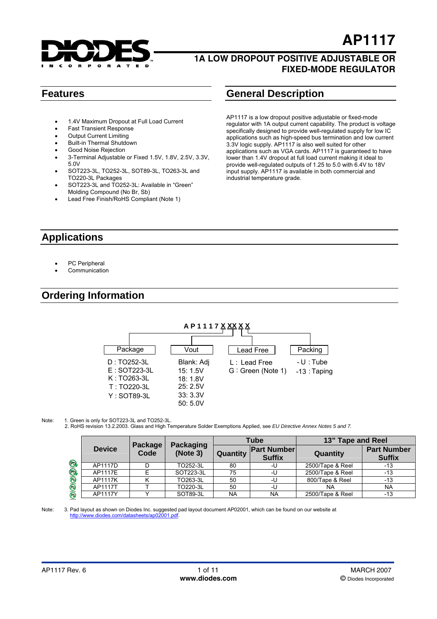

**AP1117**

- 1.4V Maximum Dropout at Full Load Current
- **Fast Transient Response**
- Output Current Limiting
- Built-in Thermal Shutdown
- Good Noise Rejection
- 3-Terminal Adjustable or Fixed 1.5V, 1.8V, 2.5V, 3.3V, 5.0V
- SOT223-3L, TO252-3L, SOT89-3L, TO263-3L and TO220-3L Packages
- SOT223-3L and TO252-3L: Available in "Green" Molding Compound (No Br, Sb)
- Lead Free Finish/RoHS Compliant (Note 1)

## **Features General Description**

AP1117 is a low dropout positive adjustable or fixed-mode regulator with 1A output current capability. The product is voltage specifically designed to provide well-regulated supply for low IC applications such as high-speed bus termination and low current 3.3V logic supply. AP1117 is also well suited for other applications such as VGA cards. AP1117 is guaranteed to have lower than 1.4V dropout at full load current making it ideal to provide well-regulated outputs of 1.25 to 5.0 with 6.4V to 18V input supply. AP1117 is available in both commercial and industrial temperature grade.

## **Applications**

- PC Peripheral
- Communication

## **Ordering Information**



#### Note: 1. Green is only for SOT223-3L and TO252-3L.

2. RoHS revision 13.2.2003. Glass and High Temperature Solder Exemptions Applied, see *[EU Directive Annex Notes 5 and 7.](http://europa.eu.int/eur-lex/pri/en/oj/dat/2003/l_037/l_03720030213en00190023.pdf?lang=_e)*

|  | <b>Device</b> | Package<br>Code | Packaging<br>(Note 3) | Tube      |                                     | 13" Tape and Reel |                                     |  |
|--|---------------|-----------------|-----------------------|-----------|-------------------------------------|-------------------|-------------------------------------|--|
|  |               |                 |                       | Quantity  | <b>Part Number</b><br><b>Suffix</b> | Quantity          | <b>Part Number</b><br><b>Suffix</b> |  |
|  | AP1117D       |                 | TO252-3L              | 80        | -U                                  | 2500/Tape & Reel  | -13                                 |  |
|  | AP1117E       |                 | SOT223-3L             | 75        | -U                                  | 2500/Tape & Reel  | $-13$                               |  |
|  | AP1117K       |                 | TO263-3L              | 50        | -U                                  | 800/Tape & Reel   | -13                                 |  |
|  | AP1117T       |                 | TO220-3L              | 50        | -U                                  | NA.               | <b>NA</b>                           |  |
|  | AP1117Y       |                 | SOT89-3L              | <b>NA</b> | <b>NA</b>                           | 2500/Tape & Reel  | $-13$                               |  |

#### Note: 3. Pad layout as shown on Diodes Inc. suggested pad layout document AP02001, which can be found on our website at http://www.diodes.com/datasheets/ap02001.pdf. http://www.diodes.com/datasheets/ap0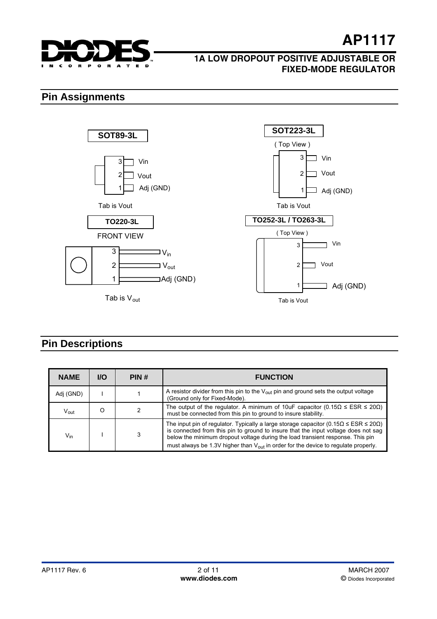

## **1A LOW DROPOUT POSITIVE ADJUSTABLE OR FIXED-MODE REGULATOR**

## **Pin Assignments**



## **Pin Descriptions**

| <b>NAME</b>                 | <b>I/O</b> | PIN# | <b>FUNCTION</b>                                                                                                                                                                                                                                                                                                                                                                 |  |
|-----------------------------|------------|------|---------------------------------------------------------------------------------------------------------------------------------------------------------------------------------------------------------------------------------------------------------------------------------------------------------------------------------------------------------------------------------|--|
| Adj (GND)                   |            |      | A resistor divider from this pin to the $V_{\text{out}}$ pin and ground sets the output voltage<br>(Ground only for Fixed-Mode).                                                                                                                                                                                                                                                |  |
| $\mathsf{V}_{\mathsf{out}}$ |            |      | The output of the regulator. A minimum of 10uF capacitor (0.15 $\Omega \leq ESR \leq 20\Omega$ )<br>must be connected from this pin to ground to insure stability.                                                                                                                                                                                                              |  |
| $V_{\text{in}}$             |            |      | The input pin of regulator. Typically a large storage capacitor $(0.15\Omega \leq ESR \leq 20\Omega)$<br>is connected from this pin to ground to insure that the input voltage does not sag<br>below the minimum dropout voltage during the load transient response. This pin<br>must always be 1.3V higher than $V_{\text{out}}$ in order for the device to regulate properly. |  |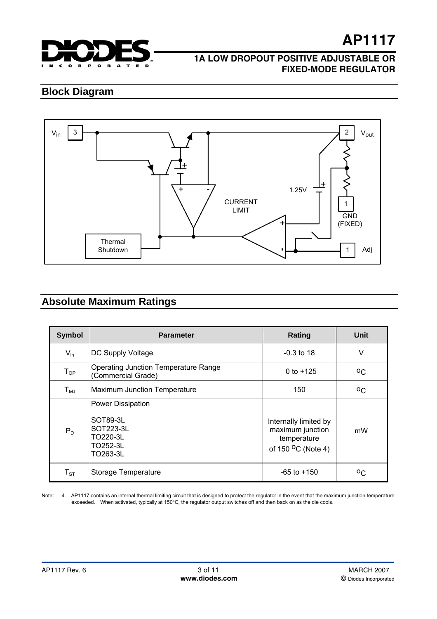

### **1A LOW DROPOUT POSITIVE ADJUSTABLE OR FIXED-MODE REGULATOR**

## **Block Diagram**



## **Absolute Maximum Ratings**

| <b>Symbol</b> | <b>Parameter</b>                                                                      | Rating                                                                                     | Unit    |  |
|---------------|---------------------------------------------------------------------------------------|--------------------------------------------------------------------------------------------|---------|--|
| $V_{in}$      | <b>DC Supply Voltage</b>                                                              | $-0.3$ to 18                                                                               | ٧       |  |
| $T_{OP}$      | <b>Operating Junction Temperature Range</b><br>(Commercial Grade)                     | 0 to $+125$                                                                                | $^{0}C$ |  |
| $T_{MJ}$      | Maximum Junction Temperature                                                          | 150                                                                                        | $^{0}C$ |  |
| $P_D$         | Power Dissipation<br>SOT89-3L<br><b>SOT223-3L</b><br>TO220-3L<br>TO252-3L<br>TO263-3L | Internally limited by<br>maximum junction<br>temperature<br>of 150 <sup>O</sup> C (Note 4) | mW      |  |
| $T_{ST}$      | Storage Temperature                                                                   | $-65$ to $+150$                                                                            | οC      |  |

Note: 4. AP1117 contains an internal thermal limiting circuit that is designed to protect the regulator in the event that the maximum junction temperature exceeded. When activated, typically at 150°C, the regulator output switches off and then back on as the die cools.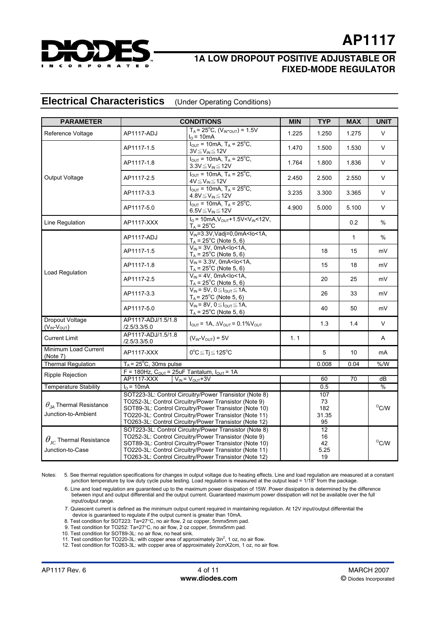

**AP1117**

#### **Electrical Characteristics** (Under Operating Conditions)

| <b>PARAMETER</b>                                                        |                                                                                                                                                                                                                                                                                               | <b>CONDITIONS</b>                                                                                                    | <b>MIN</b>                                | <b>TYP</b>                      | <b>MAX</b>          | <b>UNIT</b>         |
|-------------------------------------------------------------------------|-----------------------------------------------------------------------------------------------------------------------------------------------------------------------------------------------------------------------------------------------------------------------------------------------|----------------------------------------------------------------------------------------------------------------------|-------------------------------------------|---------------------------------|---------------------|---------------------|
| Reference Voltage                                                       | AP1117-ADJ                                                                                                                                                                                                                                                                                    | $T_A = 25^{\circ}C$ , $(V_{IN\text{-OUT}}) = 1.5V$<br>$I0$ = 10mA                                                    | 1.225                                     | 1.250                           | 1.275               | V                   |
|                                                                         | AP1117-1.5                                                                                                                                                                                                                                                                                    | $I_{OUT}$ = 10mA, $T_A$ = 25 <sup>o</sup> C,<br>$\frac{3V \leq V_{IN} \leq 12V}{I_{OUT}} = 10mA, T_A = 25^{\circ}C,$ | 1.470                                     | 1.500                           | 1.530               | V                   |
|                                                                         | AP1117-1.8                                                                                                                                                                                                                                                                                    | $3.3V \leq V_{IN} \leq 12V$                                                                                          | 1.764                                     | 1.800                           | 1.836               | $\vee$              |
| Output Voltage                                                          | AP1117-2.5                                                                                                                                                                                                                                                                                    | $I_{OUT} = 10mA$ , T <sub>A</sub> = 25 <sup>°</sup> C,<br>$4V \leq V_{IN} \leq 12V$                                  | 2.450                                     | 2.500                           | 2.550               | $\vee$              |
|                                                                         | AP1117-3.3                                                                                                                                                                                                                                                                                    | $I_{\text{OUT}} = 10 \text{mA}$ , $T_A = 25^{\circ} \text{C}$ ,<br>$4.8V \leq V_{IN} \leq 12V$                       | 3.235                                     | 3.300                           | 3.365               | $\mathsf{V}$        |
|                                                                         | AP1117-5.0                                                                                                                                                                                                                                                                                    | $I_{OUT} = 10mA$ , $T_A = 25^{\circ}C$ ,<br>$6.5V \leq V_{IN} \leq 12V$                                              | 4.900                                     | 5.000                           | 5.100               | V                   |
| Line Regulation                                                         | AP1117-XXX                                                                                                                                                                                                                                                                                    | $IO$ = 10mA, $VOUT$ +1.5V < $VIN$ < 12V,<br>$T_A = 25^{\circ}$ C                                                     |                                           |                                 | 0.2                 | $\%$                |
|                                                                         | AP1117-ADJ                                                                                                                                                                                                                                                                                    | $V_{IN} = 3.3V$ , Vadj=0, 0mA <lo<1a,<br><math>T_A</math> = 25°C (Note 5, 6)</lo<1a,<br>                             |                                           |                                 | $\mathbf{1}$        | $\%$                |
|                                                                         | AP1117-1.5                                                                                                                                                                                                                                                                                    | $V_{IN}$ = 3V, 0mA <lo<1a,<br><math>T_A</math> = 25°C (Note 5, 6)</lo<1a,<br>                                        |                                           | 18                              | 15                  | mV                  |
|                                                                         | AP1117-1.8                                                                                                                                                                                                                                                                                    | $V_{IN}$ = 3.3V, 0mA <lo<1a,<br><math>T_A</math> = 25°C (Note 5, 6)</lo<1a,<br>                                      |                                           | 15                              | 18                  | mV                  |
| Load Regulation                                                         | AP1117-2.5                                                                                                                                                                                                                                                                                    | $V_{IN}$ = 4V, 0mA <lo<1a,<br><math>T_A</math> = 25°C (Note 5, 6)</lo<1a,<br>                                        |                                           | 20                              | 25                  | mV                  |
|                                                                         | AP1117-3.3                                                                                                                                                                                                                                                                                    | $V_{IN}$ = 5V, 0 $\leq$ $I_{OUT}$ $\leq$ 1A,<br>$T_A$ = 25 <sup>°</sup> C (Note 5, 6)                                |                                           | 26                              | 33                  | mV                  |
|                                                                         | AP1117-5.0                                                                                                                                                                                                                                                                                    | $V_{IN}$ = 8V, $0 \leq I_{OUT} \leq 1$ A,<br>$T_A$ = 25°C (Note 5, 6)                                                |                                           | 40                              | 50                  | mV                  |
| <b>Dropout Voltage</b><br>$(V_{IN}-V_{OUT})$                            | AP1117-ADJ/1.5/1.8<br>/2.5/3.3/5.0                                                                                                                                                                                                                                                            | $I_{OUT}$ = 1A, $\Delta V_{OUT}$ = 0.1% $V_{OUT}$                                                                    |                                           | 1.3                             | 1.4                 | V                   |
| <b>Current Limit</b>                                                    | AP1117-ADJ/1.5/1.8<br>/2.5/3.3/5.0                                                                                                                                                                                                                                                            | $(V_{IN}$ - $V_{OUT})$ = 5V                                                                                          | 1.1                                       |                                 |                     | Α                   |
| Minimum Load Current<br>(Note 7)                                        | AP1117-XXX                                                                                                                                                                                                                                                                                    | $0^{\circ}C \leq Tj \leq 125^{\circ}C$                                                                               |                                           | 5                               | 10                  | mA                  |
| <b>Thermal Regulation</b>                                               | $T_A$ = 25°C, 30ms pulse                                                                                                                                                                                                                                                                      |                                                                                                                      |                                           | 0.008                           | 0.04                | $%$ /W              |
| Ripple Rejection                                                        | F = 180Hz, $C_{OUT}$ = 25uF Tantalum, $I_{OUT}$ = 1A                                                                                                                                                                                                                                          |                                                                                                                      |                                           |                                 |                     |                     |
|                                                                         | <b>AP1117-XXX</b><br>$V_{IN} = V_{OUT} + 3V$                                                                                                                                                                                                                                                  |                                                                                                                      | 60                                        | $\overline{70}$                 | dB                  |                     |
| <b>Temperature Stability</b>                                            | $I0$ = 10mA                                                                                                                                                                                                                                                                                   |                                                                                                                      |                                           | 0.5                             |                     | %                   |
| $\theta_{\mu}$ Thermal Resistance<br>Junction-to-Ambient                | SOT223-3L: Control Circuitry/Power Transistor (Note 8)<br>TO252-3L: Control Circuitry/Power Transistor (Note 9)<br>SOT89-3L: Control Circuitry/Power Transistor (Note 10)<br>TO220-3L: Control Circuitry/Power Transistor (Note 11)<br>TO263-3L: Control Circuitry/Power Transistor (Note 12) |                                                                                                                      |                                           | 107<br>73<br>182<br>31.35<br>95 |                     | $^{\mathrm{o}}$ C/W |
| $\theta_{\scriptscriptstyle IC}$ Thermal Resistance<br>Junction-to-Case | SOT223-3L: Control Circuitry/Power Transistor (Note 8)<br>TO252-3L: Control Circuitry/Power Transistor (Note 9)<br>SOT89-3L: Control Circuitry/Power Transistor (Note 10)<br>TO220-3L: Control Circuitry/Power Transistor (Note 11)<br>TO263-3L: Control Circuitry/Power Transistor (Note 12) |                                                                                                                      | $\overline{12}$<br>16<br>42<br>5.25<br>19 |                                 | $^{\rm O}{\rm C/W}$ |                     |

Notes: 5. See thermal regulation specifications for changes in output voltage due to heating effects. Line and load regulation are measured at a constant junction temperature by low duty cycle pulse testing. Load regulation is measured at the output lead = 1/18" from the package.

 6. Line and load regulation are guaranteed up to the maximum power dissipation of 15W. Power dissipation is determined by the difference between input and output differential and the output current. Guaranteed maximum power dissipation will not be available over the full input/output range.

 7. Quiescent current is defined as the minimum output current required in maintaining regulation. At 12V input/output differential the device is guaranteed to regulate if the output current is greater than 10mA.

8. Test condition for SOT223: Ta=27°C, no air flow, 2 oz copper, 5mmx5mm pad.

9. Test condition for TO252: Ta=27°C, no air flow, 2 oz copper, 5mmx5mm pad.

10. Test condition for SOT89-3L: no air flow, no heat sink.

11. Test condition for TO220-3L: with copper area of approximately 3in<sup>2</sup>, 1 oz, no air flow.

12. Test condition for TO263-3L: with copper area of approximately 2cmX2cm, 1 oz, no air flow.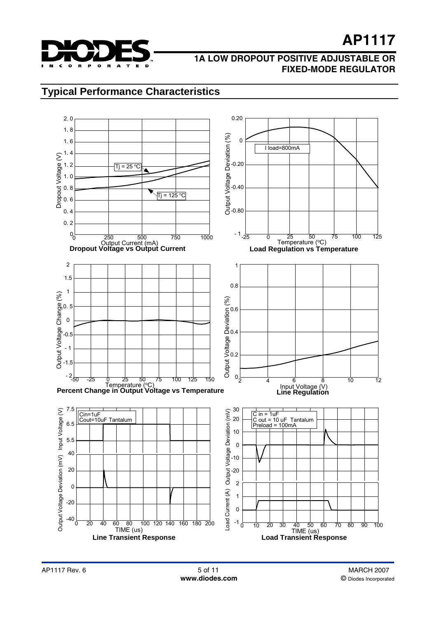

### **1A LOW DROPOUT POSITIVE ADJUSTABLE OR FIXED-MODE REGULATOR**

## **Typical Performance Characteristics**

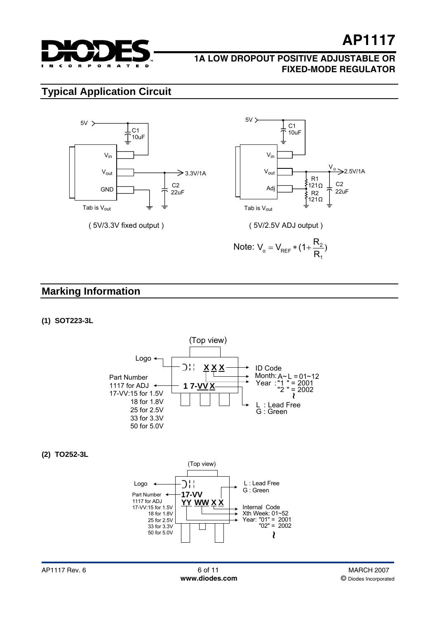

### **1A LOW DROPOUT POSITIVE ADJUSTABLE OR FIXED-MODE REGULATOR**

## **Typical Application Circuit**



## **Marking Information**

#### **(1) SOT223-3L**



#### **(2) TO252-3L**

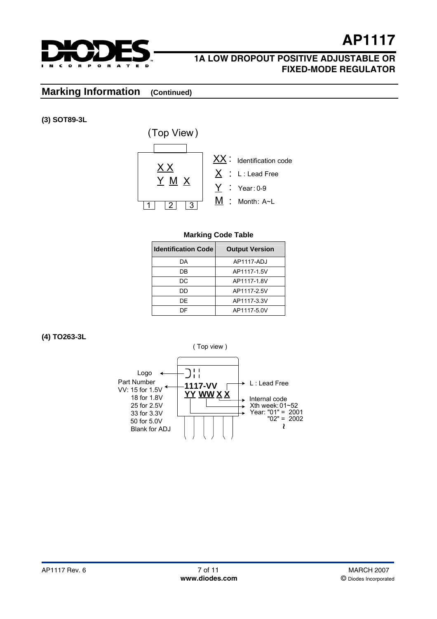

## **1A LOW DROPOUT POSITIVE ADJUSTABLE OR FIXED-MODE REGULATOR**

## **Marking Information (Continued)**

**(3) SOT89-3L**



#### **Marking Code Table**

| <b>Identification Code</b> | <b>Output Version</b> |  |  |
|----------------------------|-----------------------|--|--|
| DA                         | AP1117-ADJ            |  |  |
| DB                         | AP1117-1.5V           |  |  |
| DC                         | AP1117-1.8V           |  |  |
| DD                         | AP1117-2.5V           |  |  |
| DF                         | AP1117-3.3V           |  |  |
| DΕ                         | AP1117-5.0V           |  |  |

#### **(4) TO263-3L**

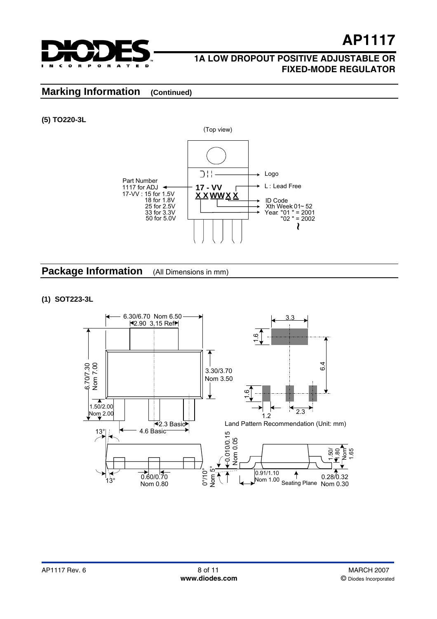

**AP1117**

## **Marking Information (Continued)**

#### **(5) TO220-3L**



**Package Information** (All Dimensions in mm)

#### **(1) SOT223-3L**

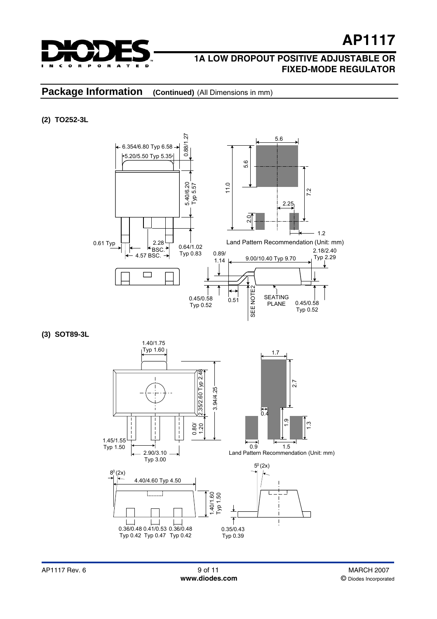

### **1A LOW DROPOUT POSITIVE ADJUSTABLE OR FIXED-MODE REGULATOR**

## **Package Information** (Continued) (All Dimensions in mm)

#### **(2) TO252-3L**



**(3) SOT89-3L** 

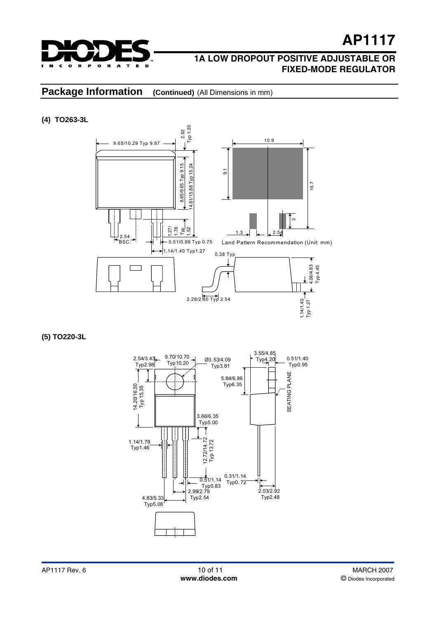

## **Package Information** (Continued) (All Dimensions in mm)

#### **(4) TO263-3L**



**(5) TO220-3L**